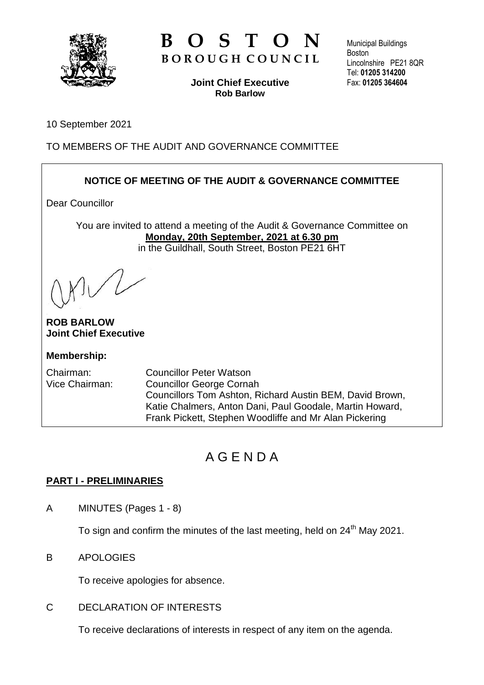

# **B O S T O N B O R O U G H C O U N C I L**

**Joint Chief Executive Rob Barlow**

Municipal Buildings **Boston** Lincolnshire PE21 8QR Tel: **01205 314200** Fax: **01205 364604**

10 September 2021

TO MEMBERS OF THE AUDIT AND GOVERNANCE COMMITTEE

# **NOTICE OF MEETING OF THE AUDIT & GOVERNANCE COMMITTEE**

Dear Councillor

You are invited to attend a meeting of the Audit & Governance Committee on **Monday, 20th September, 2021 at 6.30 pm** in the Guildhall, South Street, Boston PE21 6HT

**ROB BARLOW Joint Chief Executive**

## **Membership:**

Chairman: Councillor Peter Watson Vice Chairman: Councillor George Cornah Councillors Tom Ashton, Richard Austin BEM, David Brown, Katie Chalmers, Anton Dani, Paul Goodale, Martin Howard, Frank Pickett, Stephen Woodliffe and Mr Alan Pickering

# A G E N D A

## **PART I - PRELIMINARIES**

A MINUTES (Pages 1 - 8)

To sign and confirm the minutes of the last meeting, held on  $24<sup>th</sup>$  May 2021.

## B APOLOGIES

To receive apologies for absence.

## C DECLARATION OF INTERESTS

To receive declarations of interests in respect of any item on the agenda.